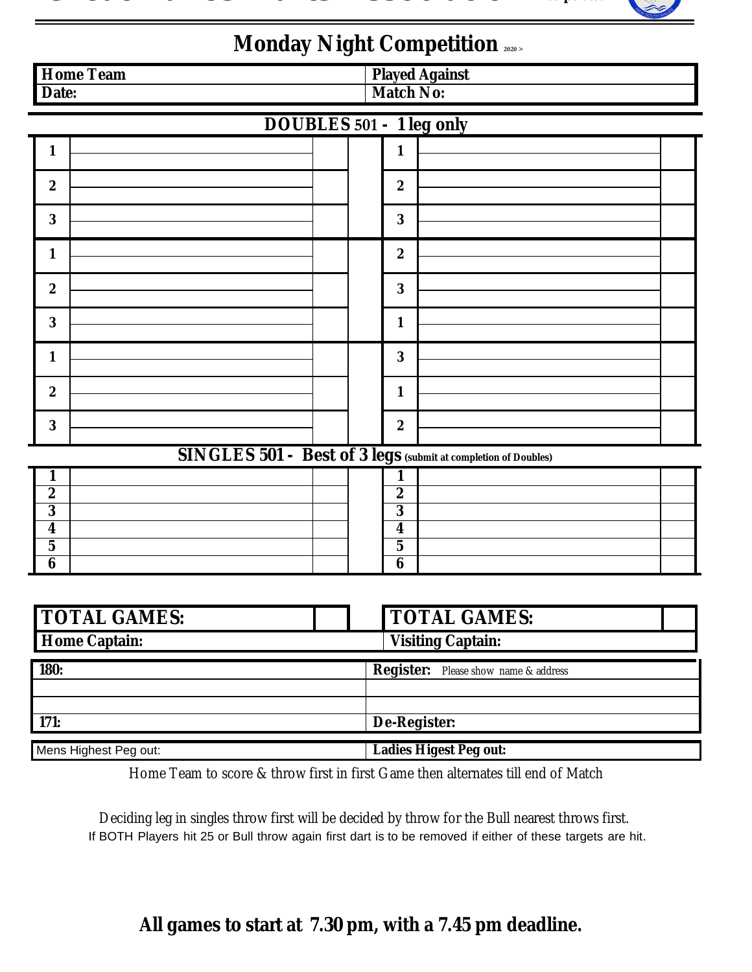## *Great Lakes Darts Association Incorporated*



## **Monday Night Competition <sup>2020</sup> <sup>&</sup>gt;**

| <b>Home Team</b>                | <b>Played Against</b>                                          |  |  |  |  |  |  |  |  |
|---------------------------------|----------------------------------------------------------------|--|--|--|--|--|--|--|--|
| Date:                           | <b>Match No:</b>                                               |  |  |  |  |  |  |  |  |
| <b>DOUBLES</b> 501 - 1 leg only |                                                                |  |  |  |  |  |  |  |  |
| $\mathbf{1}$                    | $\mathbf{1}$                                                   |  |  |  |  |  |  |  |  |
| $\boldsymbol{2}$                | $\boldsymbol{2}$                                               |  |  |  |  |  |  |  |  |
| $\bf{3}$                        | $\bf{3}$                                                       |  |  |  |  |  |  |  |  |
| $\mathbf{1}$                    | $\boldsymbol{2}$                                               |  |  |  |  |  |  |  |  |
| $\boldsymbol{2}$                | $\bf{3}$                                                       |  |  |  |  |  |  |  |  |
| $\bf{3}$                        | $\mathbf{1}$                                                   |  |  |  |  |  |  |  |  |
| $\mathbf{1}$                    | $\bf{3}$                                                       |  |  |  |  |  |  |  |  |
| $\boldsymbol{2}$                | $\mathbf{1}$                                                   |  |  |  |  |  |  |  |  |
| $\bf{3}$                        | $\boldsymbol{2}$                                               |  |  |  |  |  |  |  |  |
|                                 | SINGLES 501 - Best of 3 legs (submit at completion of Doubles) |  |  |  |  |  |  |  |  |
| 1                               | 1                                                              |  |  |  |  |  |  |  |  |
| $\boldsymbol{2}$                | $\boldsymbol{2}$                                               |  |  |  |  |  |  |  |  |
| $\bf{3}$                        | $\overline{\mathbf{3}}$                                        |  |  |  |  |  |  |  |  |
| $\overline{\bf{4}}$             | $\overline{\mathbf{4}}$                                        |  |  |  |  |  |  |  |  |
| $\overline{\mathbf{5}}$         | $\mathbf 5$                                                    |  |  |  |  |  |  |  |  |
| $\bf{6}$                        | 6                                                              |  |  |  |  |  |  |  |  |
|                                 |                                                                |  |  |  |  |  |  |  |  |
| <b>TOTAL GAMES:</b>             | <b>TOTAL GAMES:</b>                                            |  |  |  |  |  |  |  |  |
| <b>Home Captain:</b>            | <b>Visiting Captain:</b>                                       |  |  |  |  |  |  |  |  |
| <b>180:</b>                     | <b>Register:</b> Please show name & address                    |  |  |  |  |  |  |  |  |
|                                 |                                                                |  |  |  |  |  |  |  |  |
| 171:                            | De-Register:                                                   |  |  |  |  |  |  |  |  |
| Mens Highest Peg out:           | <b>Ladies Higest Peg out:</b>                                  |  |  |  |  |  |  |  |  |
|                                 |                                                                |  |  |  |  |  |  |  |  |

 Home Team to score & throw first in first Game then alternates till end of Match

Deciding leg in singles throw first will be decided by throw for the Bull nearest throws first. If BOTH Players hit 25 or Bull throw again first dart is to be removed if either of these targets are hit.

## **All games to start at 7.30 pm, with a 7.45 pm deadline.**